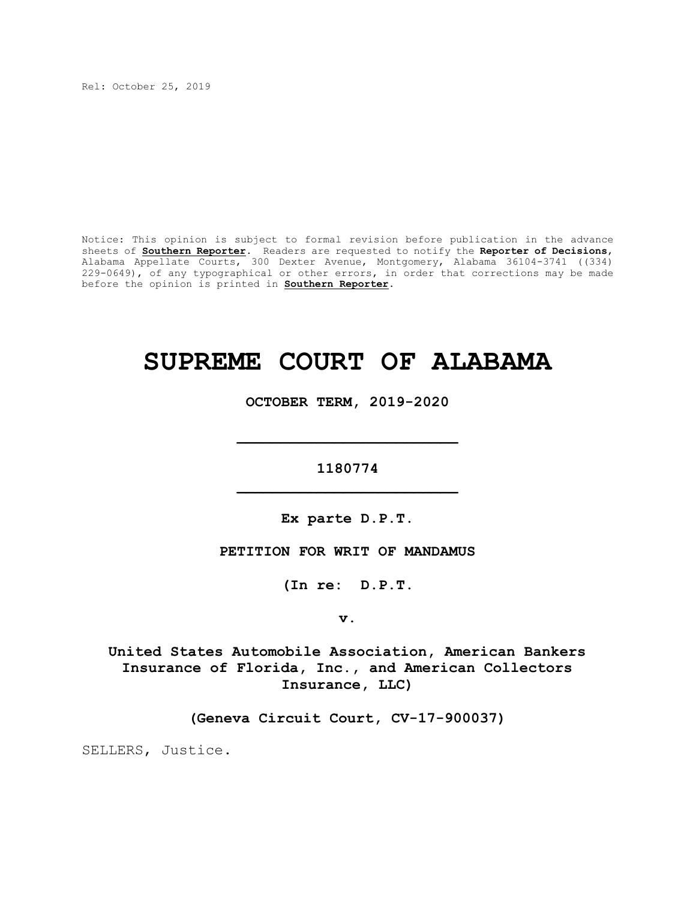Rel: October 25, 2019

Notice: This opinion is subject to formal revision before publication in the advance sheets of **Southern Reporter**. Readers are requested to notify the **Reporter of Decisions**, Alabama Appellate Courts, 300 Dexter Avenue, Montgomery, Alabama 36104-3741 ((334) 229-0649), of any typographical or other errors, in order that corrections may be made before the opinion is printed in **Southern Reporter**.

# **SUPREME COURT OF ALABAMA**

**OCTOBER TERM, 2019-2020**

**1180774 \_\_\_\_\_\_\_\_\_\_\_\_\_\_\_\_\_\_\_\_\_\_\_\_\_**

**\_\_\_\_\_\_\_\_\_\_\_\_\_\_\_\_\_\_\_\_\_\_\_\_\_**

**Ex parte D.P.T.**

**PETITION FOR WRIT OF MANDAMUS**

**(In re: D.P.T.**

**v.**

**United States Automobile Association, American Bankers Insurance of Florida, Inc., and American Collectors Insurance, LLC)**

**(Geneva Circuit Court, CV-17-900037)**

SELLERS, Justice.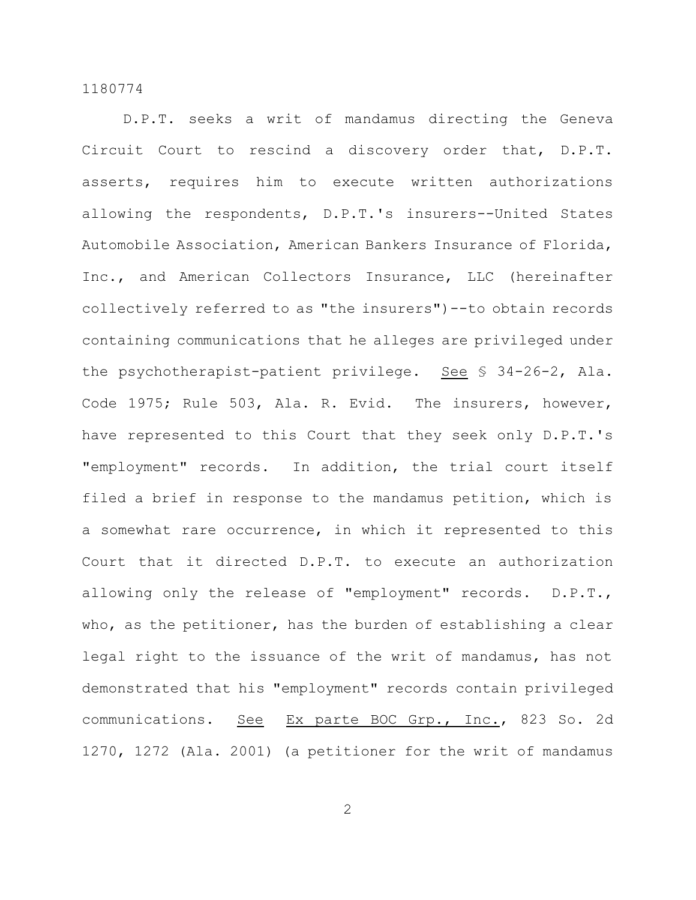D.P.T. seeks a writ of mandamus directing the Geneva Circuit Court to rescind a discovery order that, D.P.T. asserts, requires him to execute written authorizations allowing the respondents, D.P.T.'s insurers--United States Automobile Association, American Bankers Insurance of Florida, Inc., and American Collectors Insurance, LLC (hereinafter collectively referred to as "the insurers")--to obtain records containing communications that he alleges are privileged under the psychotherapist-patient privilege. See § 34-26-2, Ala. Code 1975; Rule 503, Ala. R. Evid. The insurers, however, have represented to this Court that they seek only D.P.T.'s "employment" records. In addition, the trial court itself filed a brief in response to the mandamus petition, which is a somewhat rare occurrence, in which it represented to this Court that it directed D.P.T. to execute an authorization allowing only the release of "employment" records. D.P.T., who, as the petitioner, has the burden of establishing a clear legal right to the issuance of the writ of mandamus, has not demonstrated that his "employment" records contain privileged communications. See Ex parte BOC Grp., Inc., 823 So. 2d 1270, 1272 (Ala. 2001) (a petitioner for the writ of mandamus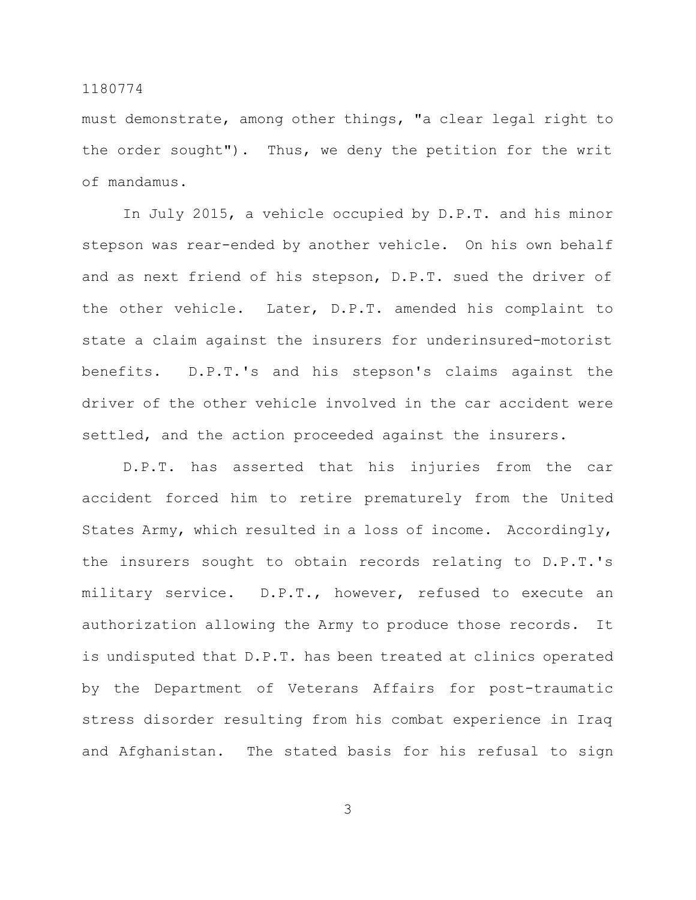must demonstrate, among other things, "a clear legal right to the order sought"). Thus, we deny the petition for the writ of mandamus.

In July 2015, a vehicle occupied by D.P.T. and his minor stepson was rear-ended by another vehicle. On his own behalf and as next friend of his stepson, D.P.T. sued the driver of the other vehicle. Later, D.P.T. amended his complaint to state a claim against the insurers for underinsured-motorist benefits. D.P.T.'s and his stepson's claims against the driver of the other vehicle involved in the car accident were settled, and the action proceeded against the insurers.

D.P.T. has asserted that his injuries from the car accident forced him to retire prematurely from the United States Army, which resulted in a loss of income. Accordingly, the insurers sought to obtain records relating to D.P.T.'s military service. D.P.T., however, refused to execute an authorization allowing the Army to produce those records. It is undisputed that D.P.T. has been treated at clinics operated by the Department of Veterans Affairs for post-traumatic stress disorder resulting from his combat experience in Iraq and Afghanistan. The stated basis for his refusal to sign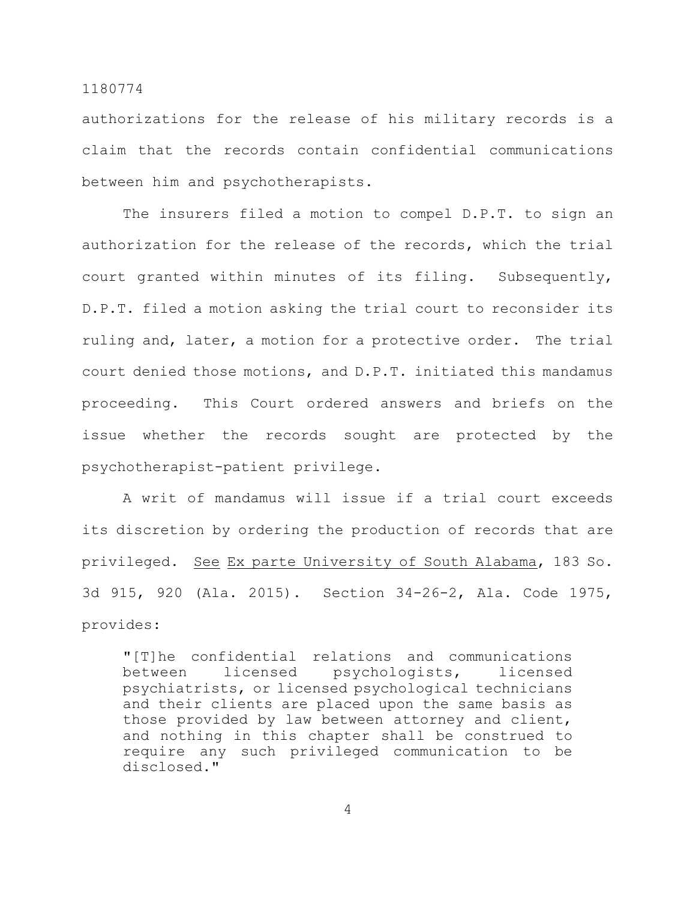authorizations for the release of his military records is a claim that the records contain confidential communications between him and psychotherapists.

The insurers filed a motion to compel D.P.T. to sign an authorization for the release of the records, which the trial court granted within minutes of its filing. Subsequently, D.P.T. filed a motion asking the trial court to reconsider its ruling and, later, a motion for a protective order. The trial court denied those motions, and D.P.T. initiated this mandamus proceeding. This Court ordered answers and briefs on the issue whether the records sought are protected by the psychotherapist-patient privilege.

A writ of mandamus will issue if a trial court exceeds its discretion by ordering the production of records that are privileged. See Ex parte University of South Alabama, 183 So. 3d 915, 920 (Ala. 2015). Section 34-26-2, Ala. Code 1975, provides:

"[T]he confidential relations and communications between licensed psychologists, licensed psychiatrists, or licensed psychological technicians and their clients are placed upon the same basis as those provided by law between attorney and client, and nothing in this chapter shall be construed to require any such privileged communication to be disclosed."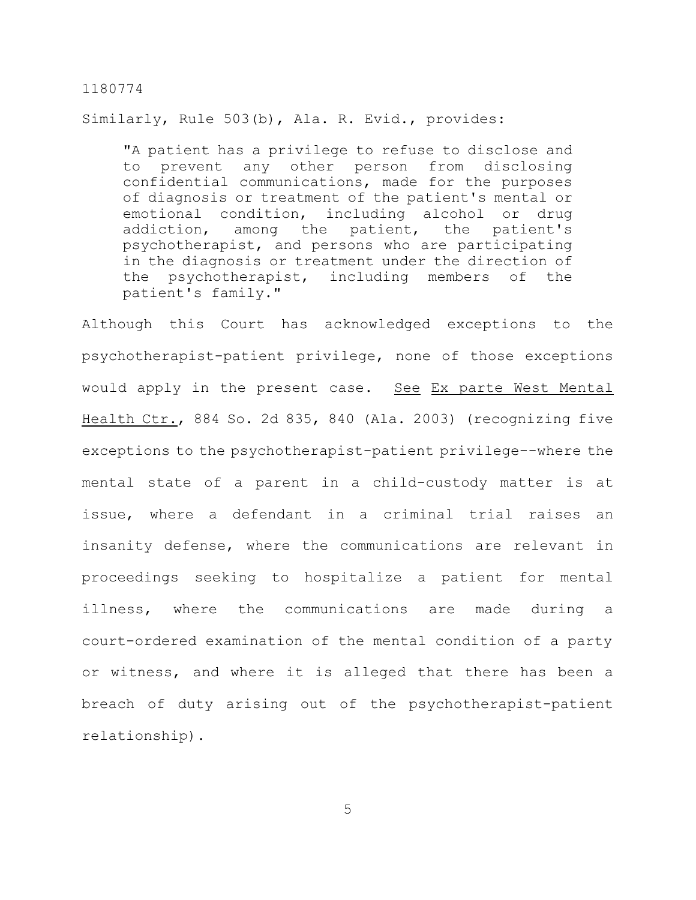Similarly, Rule 503(b), Ala. R. Evid., provides:

"A patient has a privilege to refuse to disclose and to prevent any other person from disclosing confidential communications, made for the purposes of diagnosis or treatment of the patient's mental or emotional condition, including alcohol or drug addiction, among the patient, the patient's psychotherapist, and persons who are participating in the diagnosis or treatment under the direction of the psychotherapist, including members of the patient's family."

Although this Court has acknowledged exceptions to the psychotherapist-patient privilege, none of those exceptions would apply in the present case. See Ex parte West Mental Health Ctr., 884 So. 2d 835, 840 (Ala. 2003) (recognizing five exceptions to the psychotherapist-patient privilege--where the mental state of a parent in a child-custody matter is at issue, where a defendant in a criminal trial raises an insanity defense, where the communications are relevant in proceedings seeking to hospitalize a patient for mental illness, where the communications are made during a court-ordered examination of the mental condition of a party or witness, and where it is alleged that there has been a breach of duty arising out of the psychotherapist-patient relationship).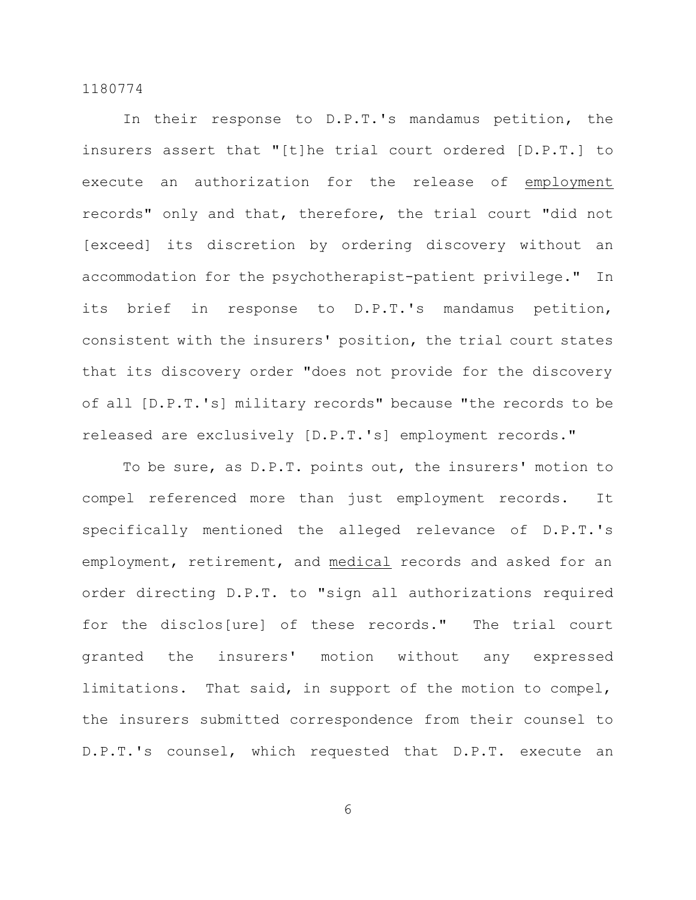In their response to D.P.T.'s mandamus petition, the insurers assert that "[t]he trial court ordered [D.P.T.] to execute an authorization for the release of employment records" only and that, therefore, the trial court "did not [exceed] its discretion by ordering discovery without an accommodation for the psychotherapist-patient privilege." In its brief in response to D.P.T.'s mandamus petition, consistent with the insurers' position, the trial court states that its discovery order "does not provide for the discovery of all [D.P.T.'s] military records" because "the records to be released are exclusively [D.P.T.'s] employment records."

To be sure, as D.P.T. points out, the insurers' motion to compel referenced more than just employment records. It specifically mentioned the alleged relevance of D.P.T.'s employment, retirement, and medical records and asked for an order directing D.P.T. to "sign all authorizations required for the disclos[ure] of these records." The trial court granted the insurers' motion without any expressed limitations. That said, in support of the motion to compel, the insurers submitted correspondence from their counsel to D.P.T.'s counsel, which requested that D.P.T. execute an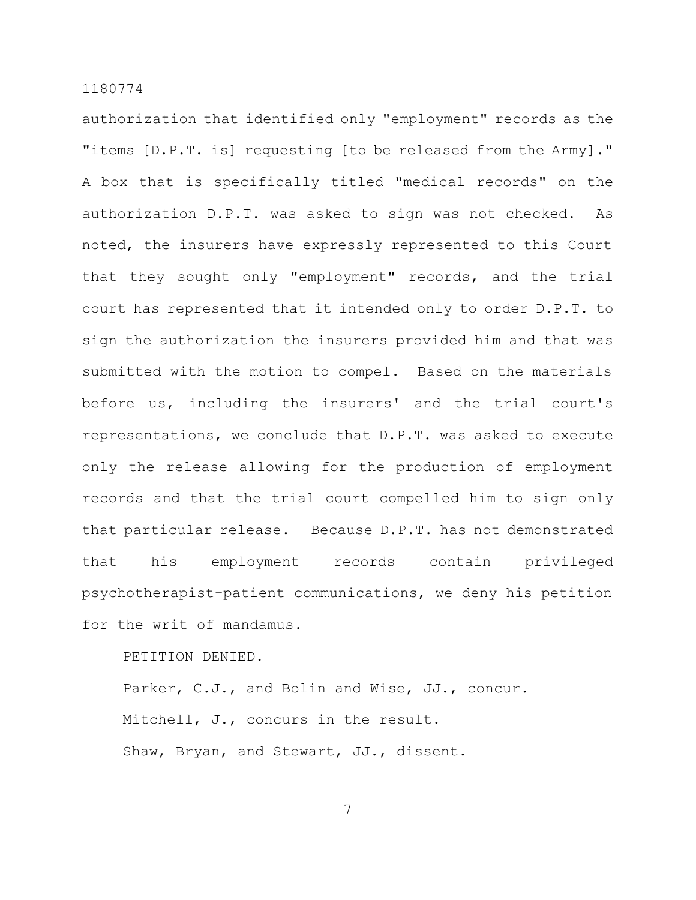authorization that identified only "employment" records as the "items [D.P.T. is] requesting [to be released from the Army]." A box that is specifically titled "medical records" on the authorization D.P.T. was asked to sign was not checked. As noted, the insurers have expressly represented to this Court that they sought only "employment" records, and the trial court has represented that it intended only to order D.P.T. to sign the authorization the insurers provided him and that was submitted with the motion to compel. Based on the materials before us, including the insurers' and the trial court's representations, we conclude that D.P.T. was asked to execute only the release allowing for the production of employment records and that the trial court compelled him to sign only that particular release. Because D.P.T. has not demonstrated that his employment records contain privileged psychotherapist-patient communications, we deny his petition for the writ of mandamus.

PETITION DENIED.

Parker, C.J., and Bolin and Wise, JJ., concur. Mitchell, J., concurs in the result. Shaw, Bryan, and Stewart, JJ., dissent.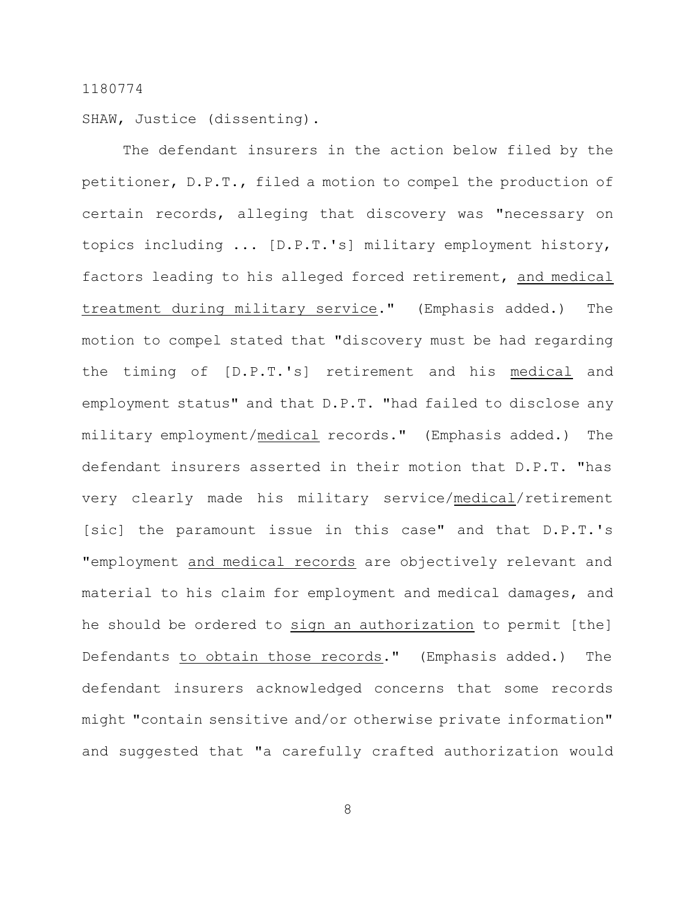SHAW, Justice (dissenting).

The defendant insurers in the action below filed by the petitioner, D.P.T., filed a motion to compel the production of certain records, alleging that discovery was "necessary on topics including ... [D.P.T.'s] military employment history, factors leading to his alleged forced retirement, and medical treatment during military service." (Emphasis added.) The motion to compel stated that "discovery must be had regarding the timing of [D.P.T.'s] retirement and his medical and employment status" and that D.P.T. "had failed to disclose any military employment/medical records." (Emphasis added.) The defendant insurers asserted in their motion that D.P.T. "has very clearly made his military service/medical/retirement [sic] the paramount issue in this case" and that D.P.T.'s "employment and medical records are objectively relevant and material to his claim for employment and medical damages, and he should be ordered to sign an authorization to permit [the] Defendants to obtain those records." (Emphasis added.) The defendant insurers acknowledged concerns that some records might "contain sensitive and/or otherwise private information" and suggested that "a carefully crafted authorization would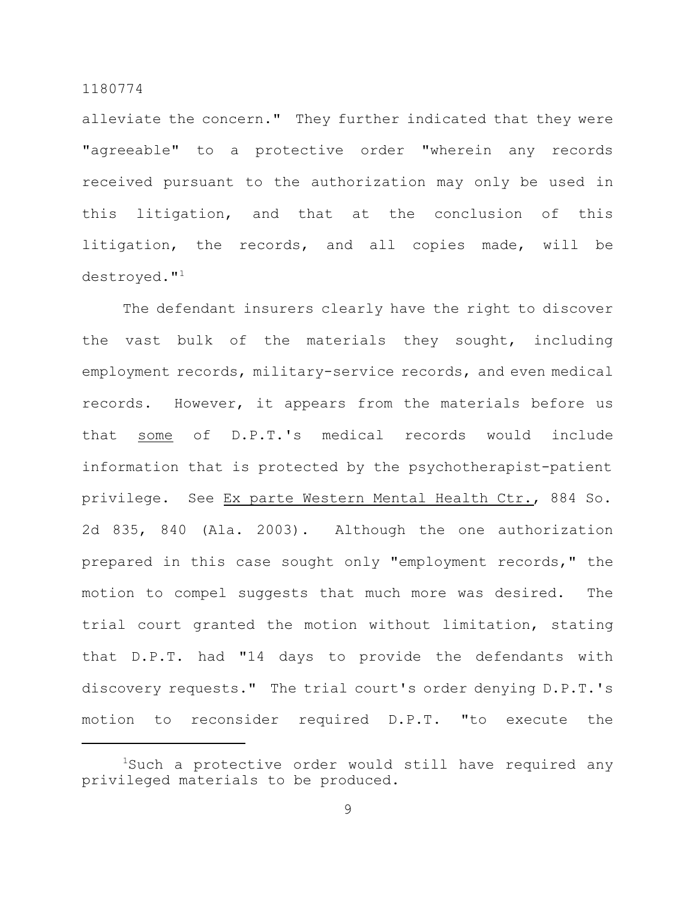alleviate the concern." They further indicated that they were "agreeable" to a protective order "wherein any records received pursuant to the authorization may only be used in this litigation, and that at the conclusion of this litigation, the records, and all copies made, will be destroyed."<sup>1</sup>

The defendant insurers clearly have the right to discover the vast bulk of the materials they sought, including employment records, military-service records, and even medical records. However, it appears from the materials before us that some of D.P.T.'s medical records would include information that is protected by the psychotherapist-patient privilege. See Ex parte Western Mental Health Ctr., 884 So. 2d 835, 840 (Ala. 2003). Although the one authorization prepared in this case sought only "employment records," the motion to compel suggests that much more was desired. The trial court granted the motion without limitation, stating that D.P.T. had "14 days to provide the defendants with discovery requests." The trial court's order denying D.P.T.'s motion to reconsider required D.P.T. "to execute the

<sup>&</sup>lt;sup>1</sup>Such a protective order would still have required any privileged materials to be produced.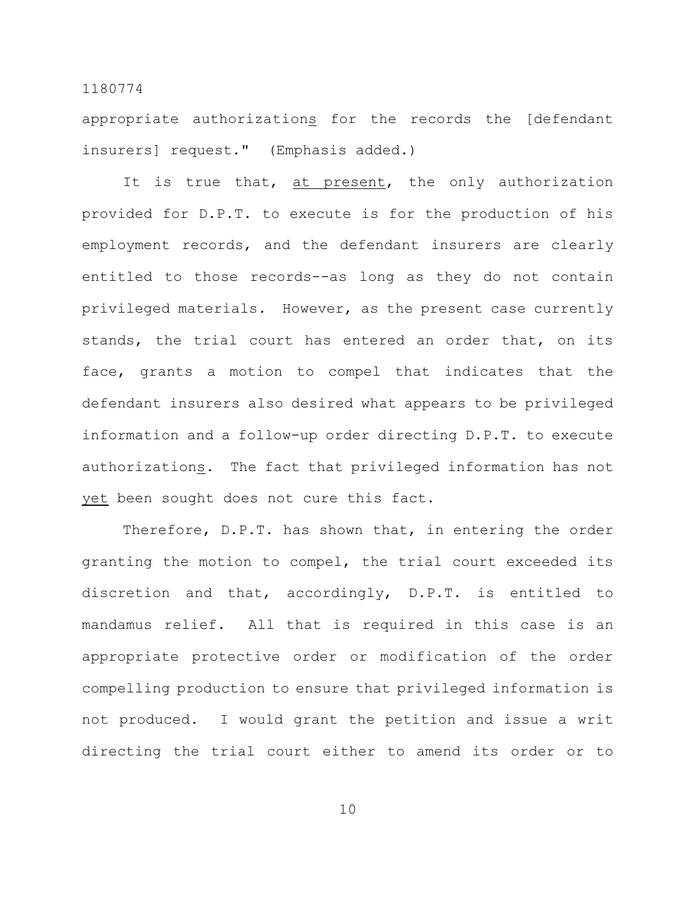appropriate authorizations for the records the [defendant insurers] request." (Emphasis added.)

It is true that, at present, the only authorization provided for D.P.T. to execute is for the production of his employment records, and the defendant insurers are clearly entitled to those records--as long as they do not contain privileged materials. However, as the present case currently stands, the trial court has entered an order that, on its face, grants a motion to compel that indicates that the defendant insurers also desired what appears to be privileged information and a follow-up order directing D.P.T. to execute authorizations. The fact that privileged information has not yet been sought does not cure this fact.

Therefore, D.P.T. has shown that, in entering the order granting the motion to compel, the trial court exceeded its discretion and that, accordingly, D.P.T. is entitled to mandamus relief. All that is required in this case is an appropriate protective order or modification of the order compelling production to ensure that privileged information is not produced. I would grant the petition and issue a writ directing the trial court either to amend its order or to